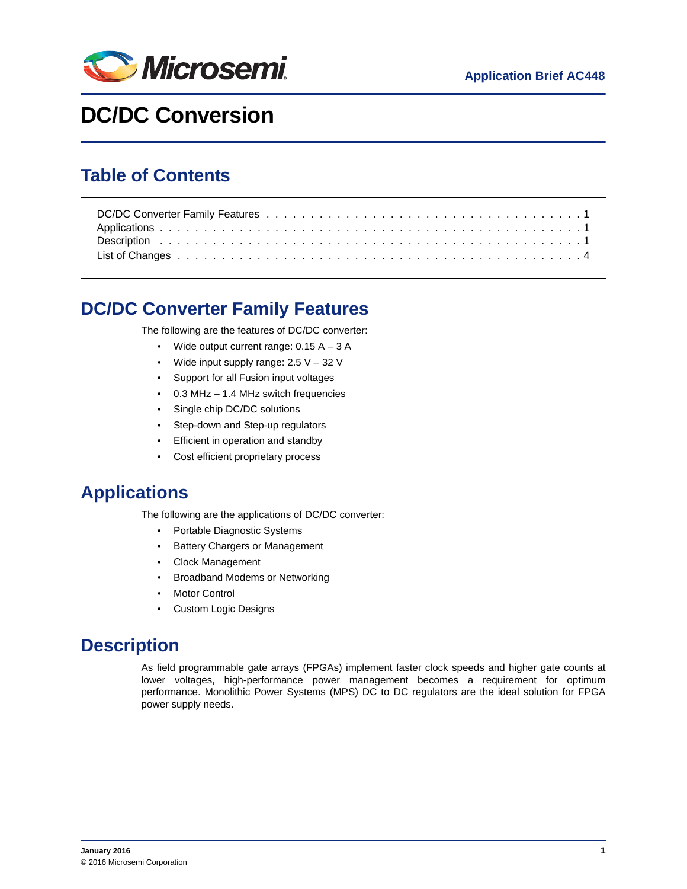

# **DC/DC Conversion**

### **Table of Contents**

# <span id="page-0-0"></span>**DC/DC Converter Family Features**

The following are the features of DC/DC converter:

- Wide output current range: 0.15 A 3 A
- Wide input supply range:  $2.5 V 32 V$
- Support for all Fusion input voltages
- 0.3 MHz 1.4 MHz switch frequencies
- Single chip DC/DC solutions
- Step-down and Step-up regulators
- Efficient in operation and standby
- Cost efficient proprietary process

# <span id="page-0-1"></span>**Applications**

The following are the applications of DC/DC converter:

- Portable Diagnostic Systems
- Battery Chargers or Management
- Clock Management
- Broadband Modems or Networking
- **Motor Control**
- Custom Logic Designs

# <span id="page-0-2"></span>**Description**

As field programmable gate arrays (FPGAs) implement faster clock speeds and higher gate counts at lower voltages, high-performance power management becomes a requirement for optimum performance. Monolithic Power Systems (MPS) DC to DC regulators are the ideal solution for FPGA power supply needs.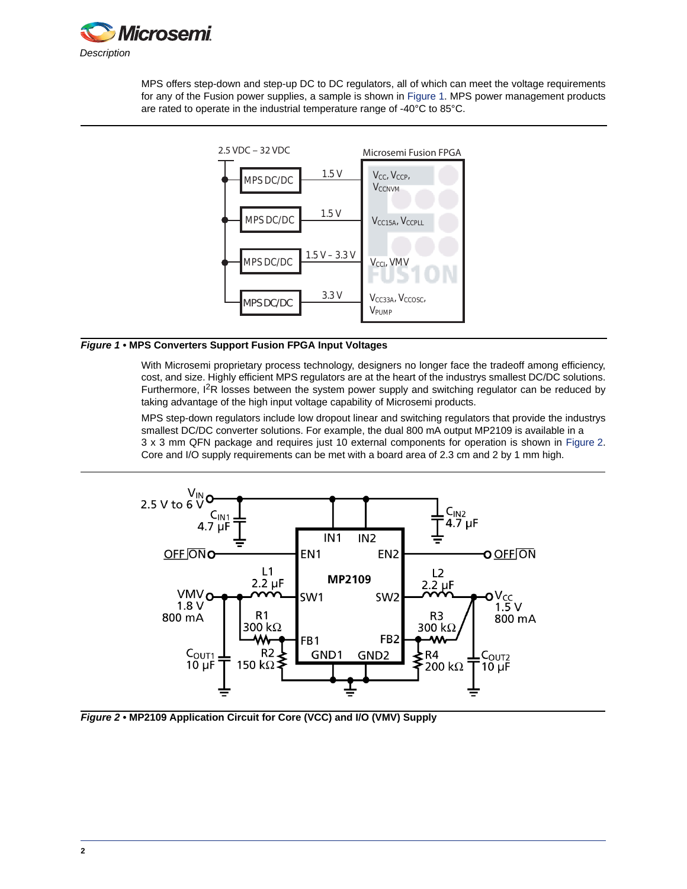

MPS offers step-down and step-up DC to DC regulators, all of which can meet the voltage requirements for any of the Fusion power supplies, a sample is shown in [Figure 1](#page-1-1). MPS power management products are rated to operate in the industrial temperature range of -40°C to 85°C.



### <span id="page-1-1"></span>*Figure 1 •* **MPS Converters Support Fusion FPGA Input Voltages**

With Microsemi proprietary process technology, designers no longer face the tradeoff among efficiency, cost, and size. Highly efficient MPS regulators are at the heart of the industrys smallest DC/DC solutions. Furthermore,  $1^2R$  losses between the system power supply and switching regulator can be reduced by taking advantage of the high input voltage capability of Microsemi products.

MPS step-down regulators include low dropout linear and switching regulators that provide the industrys smallest DC/DC converter solutions. For example, the dual 800 mA output MP2109 is available in a 3 x 3 mm QFN package and requires just 10 external components for operation is shown in [Figure 2.](#page-1-0) Core and I/O supply requirements can be met with a board area of 2.3 cm and 2 by 1 mm high.



<span id="page-1-0"></span>*Figure 2 •* **MP2109 Application Circuit for Core (VCC) and I/O (VMV) Supply**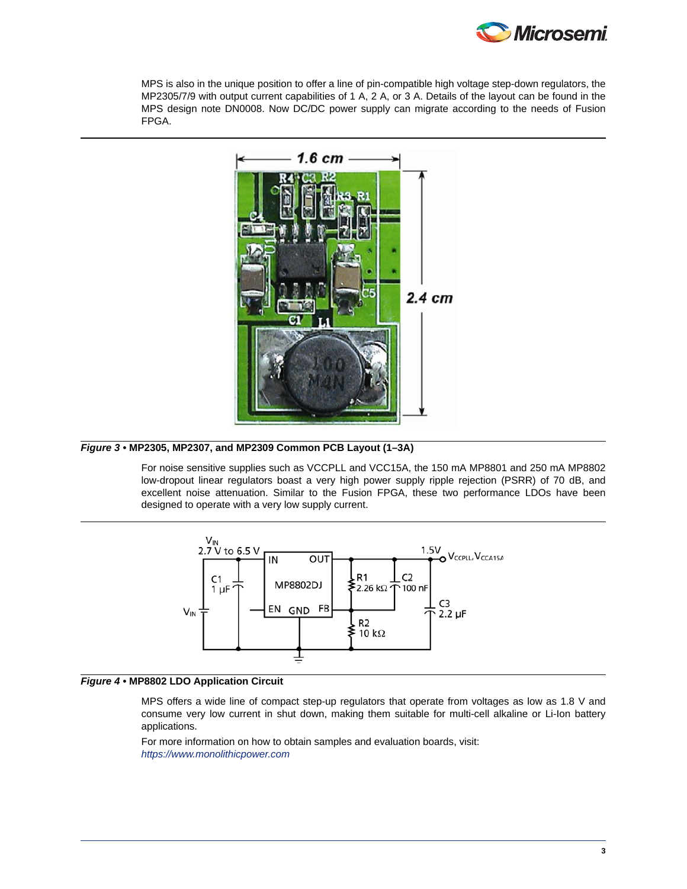

MPS is also in the unique position to offer a line of pin-compatible high voltage step-down regulators, the MP2305/7/9 with output current capabilities of 1 A, 2 A, or 3 A. Details of the layout can be found in the MPS design note DN0008. Now DC/DC power supply can migrate according to the needs of Fusion FPGA.



### *Figure 3 •* **MP2305, MP2307, and MP2309 Common PCB Layout (1–3A)**

For noise sensitive supplies such as VCCPLL and VCC15A, the 150 mA MP8801 and 250 mA MP8802 low-dropout linear regulators boast a very high power supply ripple rejection (PSRR) of 70 dB, and excellent noise attenuation. Similar to the Fusion FPGA, these two performance LDOs have been designed to operate with a very low supply current.



### *Figure 4 •* **MP8802 LDO Application Circuit**

MPS offers a wide line of compact step-up regulators that operate from voltages as low as 1.8 V and consume very low current in shut down, making them suitable for multi-cell alkaline or Li-Ion battery applications.

For more information on how to obtain samples and evaluation boards, visit: *<https://www.monolithicpower.com>*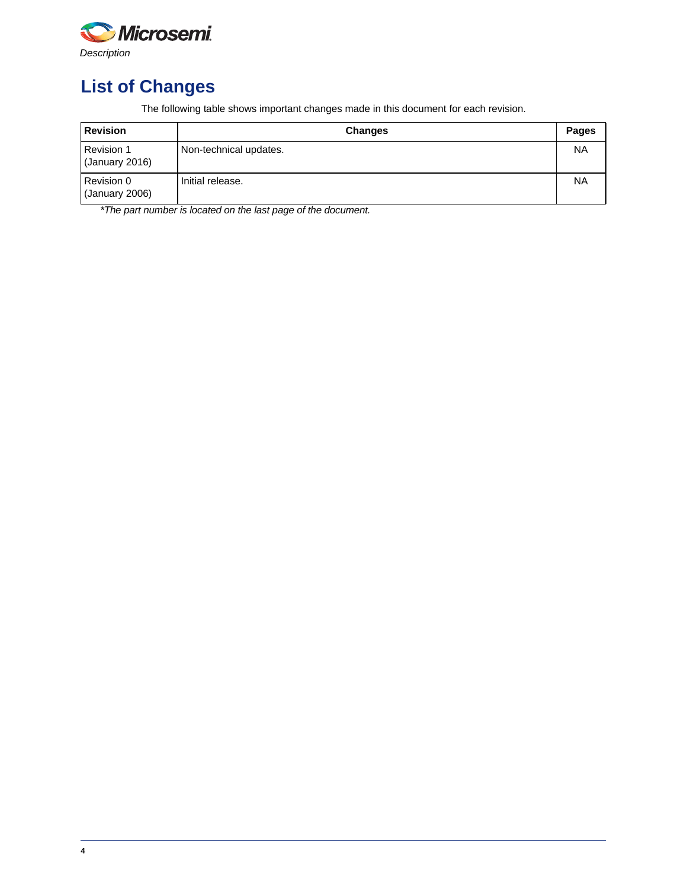

# <span id="page-3-0"></span>**List of Changes**

The following table shows important changes made in this document for each revision.

| <b>Revision</b>                     | <b>Changes</b>         | <b>Pages</b> |
|-------------------------------------|------------------------|--------------|
| <b>Revision 1</b><br>(January 2016) | Non-technical updates. | <b>NA</b>    |
| Revision 0<br>(January 2006)        | Initial release.       | <b>NA</b>    |

*\*The part number is located on the last page of the document.*